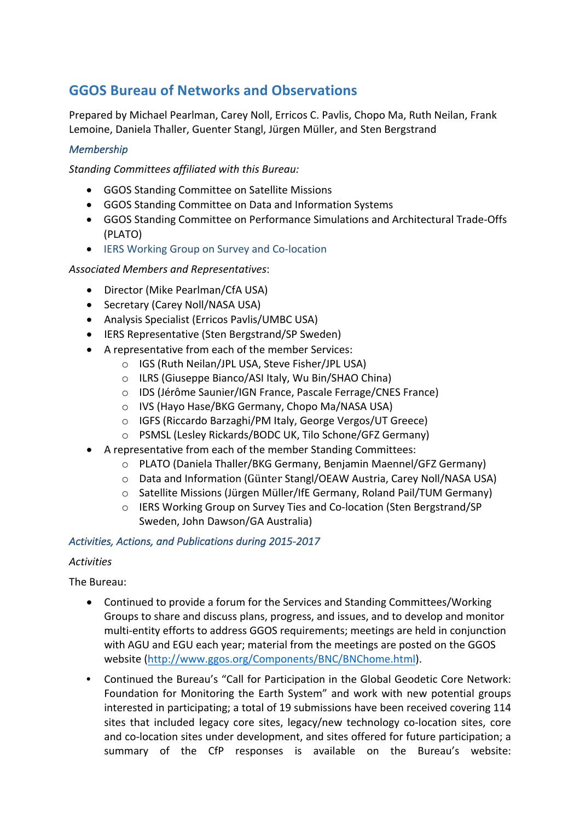# **GGOS Bureau of Networks and Observations**

Prepared by Michael Pearlman, Carey Noll, Erricos C. Pavlis, Chopo Ma, Ruth Neilan, Frank Lemoine, Daniela Thaller, Guenter Stangl, Jürgen Müller, and Sten Bergstrand

### *Membership*

*Standing Committees affiliated with this Bureau:* 

- GGOS Standing Committee on Satellite Missions
- GGOS Standing Committee on Data and Information Systems
- GGOS Standing Committee on Performance Simulations and Architectural Trade-Offs (PLATO)
- IERS Working Group on Survey and Co-location

#### *Associated Members and Representatives*:

- Director (Mike Pearlman/CfA USA)
- Secretary (Carey Noll/NASA USA)
- Analysis Specialist (Erricos Pavlis/UMBC USA)
- IERS Representative (Sten Bergstrand/SP Sweden)
- A representative from each of the member Services:
	- o IGS (Ruth Neilan/JPL USA, Steve Fisher/JPL USA)
	- o ILRS (Giuseppe Bianco/ASI Italy, Wu Bin/SHAO China)
	- o IDS (Jérôme Saunier/IGN France, Pascale Ferrage/CNES France)
	- o IVS (Hayo Hase/BKG Germany, Chopo Ma/NASA USA)
	- o IGFS (Riccardo Barzaghi/PM Italy, George Vergos/UT Greece)
	- o PSMSL (Lesley Rickards/BODC UK, Tilo Schone/GFZ Germany)
- A representative from each of the member Standing Committees:
	- $\circ$  PLATO (Daniela Thaller/BKG Germany, Benjamin Maennel/GFZ Germany)
	- $\circ$  Data and Information (Günter Stangl/OEAW Austria, Carey Noll/NASA USA)
	- $\circ$  Satellite Missions (Jürgen Müller/IfE Germany, Roland Pail/TUM Germany)
	- o IERS Working Group on Survey Ties and Co-location (Sten Bergstrand/SP Sweden, John Dawson/GA Australia)

#### *Activities, Actions, and Publications during 2015-2017*

#### *Activities*

The Bureau:

- Continued to provide a forum for the Services and Standing Committees/Working Groups to share and discuss plans, progress, and issues, and to develop and monitor multi-entity efforts to address GGOS requirements; meetings are held in conjunction with AGU and EGU each year; material from the meetings are posted on the GGOS website (http://www.ggos.org/Components/BNC/BNChome.html).
- Continued the Bureau's "Call for Participation in the Global Geodetic Core Network: Foundation for Monitoring the Earth System" and work with new potential groups interested in participating; a total of 19 submissions have been received covering 114 sites that included legacy core sites, legacy/new technology co-location sites, core and co-location sites under development, and sites offered for future participation; a summary of the CfP responses is available on the Bureau's website: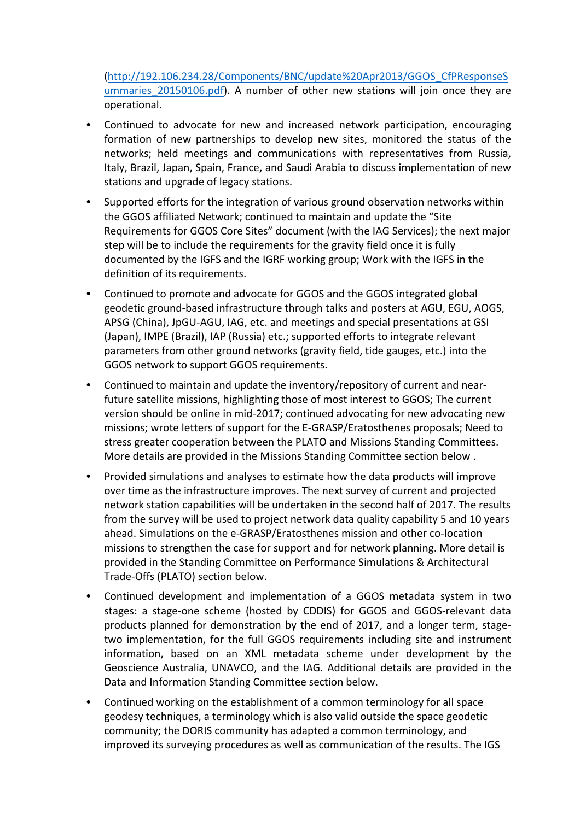(http://192.106.234.28/Components/BNC/update%20Apr2013/GGOS\_CfPResponseS ummaries 20150106.pdf). A number of other new stations will join once they are operational. 

- Continued to advocate for new and increased network participation, encouraging formation of new partnerships to develop new sites, monitored the status of the networks; held meetings and communications with representatives from Russia, Italy, Brazil, Japan, Spain, France, and Saudi Arabia to discuss implementation of new stations and upgrade of legacy stations.
- Supported efforts for the integration of various ground observation networks within the GGOS affiliated Network; continued to maintain and update the "Site Requirements for GGOS Core Sites" document (with the IAG Services); the next major step will be to include the requirements for the gravity field once it is fully documented by the IGFS and the IGRF working group; Work with the IGFS in the definition of its requirements.
- Continued to promote and advocate for GGOS and the GGOS integrated global geodetic ground-based infrastructure through talks and posters at AGU, EGU, AOGS, APSG (China), JpGU-AGU, IAG, etc. and meetings and special presentations at GSI (Japan), IMPE (Brazil), IAP (Russia) etc.; supported efforts to integrate relevant parameters from other ground networks (gravity field, tide gauges, etc.) into the GGOS network to support GGOS requirements.
- Continued to maintain and update the inventory/repository of current and nearfuture satellite missions, highlighting those of most interest to GGOS; The current version should be online in mid-2017; continued advocating for new advocating new missions; wrote letters of support for the E-GRASP/Eratosthenes proposals; Need to stress greater cooperation between the PLATO and Missions Standing Committees. More details are provided in the Missions Standing Committee section below.
- Provided simulations and analyses to estimate how the data products will improve over time as the infrastructure improves. The next survey of current and projected network station capabilities will be undertaken in the second half of 2017. The results from the survey will be used to project network data quality capability 5 and 10 years ahead. Simulations on the e-GRASP/Eratosthenes mission and other co-location missions to strengthen the case for support and for network planning. More detail is provided in the Standing Committee on Performance Simulations & Architectural Trade-Offs (PLATO) section below.
- Continued development and implementation of a GGOS metadata system in two stages: a stage-one scheme (hosted by CDDIS) for GGOS and GGOS-relevant data products planned for demonstration by the end of 2017, and a longer term, stagetwo implementation, for the full GGOS requirements including site and instrument information, based on an XML metadata scheme under development by the Geoscience Australia, UNAVCO, and the IAG. Additional details are provided in the Data and Information Standing Committee section below.
- Continued working on the establishment of a common terminology for all space geodesy techniques, a terminology which is also valid outside the space geodetic community; the DORIS community has adapted a common terminology, and improved its surveying procedures as well as communication of the results. The IGS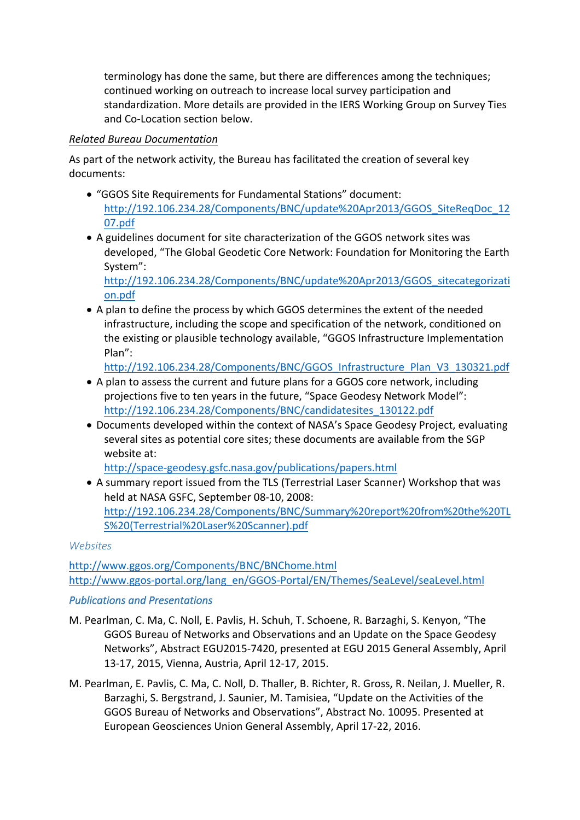terminology has done the same, but there are differences among the techniques; continued working on outreach to increase local survey participation and standardization. More details are provided in the IERS Working Group on Survey Ties and Co-Location section below.

## *Related Bureau Documentation*

As part of the network activity, the Bureau has facilitated the creation of several key documents:

- "GGOS Site Requirements for Fundamental Stations" document: http://192.106.234.28/Components/BNC/update%20Apr2013/GGOS\_SiteReqDoc\_12 07.pdf
- A guidelines document for site characterization of the GGOS network sites was developed, "The Global Geodetic Core Network: Foundation for Monitoring the Earth System":

http://192.106.234.28/Components/BNC/update%20Apr2013/GGOS\_sitecategorizati on.pdf

• A plan to define the process by which GGOS determines the extent of the needed infrastructure, including the scope and specification of the network, conditioned on the existing or plausible technology available, "GGOS Infrastructure Implementation Plan":

http://192.106.234.28/Components/BNC/GGOS\_Infrastructure\_Plan\_V3\_130321.pdf

- A plan to assess the current and future plans for a GGOS core network, including projections five to ten years in the future, "Space Geodesy Network Model": http://192.106.234.28/Components/BNC/candidatesites\_130122.pdf
- Documents developed within the context of NASA's Space Geodesy Project, evaluating several sites as potential core sites; these documents are available from the SGP website at:

http://space-geodesy.gsfc.nasa.gov/publications/papers.html

• A summary report issued from the TLS (Terrestrial Laser Scanner) Workshop that was held at NASA GSFC, September 08-10, 2008: http://192.106.234.28/Components/BNC/Summary%20report%20from%20the%20TL S%20(Terrestrial%20Laser%20Scanner).pdf

## *Websites*

http://www.ggos.org/Components/BNC/BNChome.html http://www.ggos-portal.org/lang\_en/GGOS-Portal/EN/Themes/SeaLevel/seaLevel.html

# *Publications and Presentations*

- M. Pearlman, C. Ma, C. Noll, E. Pavlis, H. Schuh, T. Schoene, R. Barzaghi, S. Kenyon, "The GGOS Bureau of Networks and Observations and an Update on the Space Geodesy Networks", Abstract EGU2015-7420, presented at EGU 2015 General Assembly, April 13-17, 2015, Vienna, Austria, April 12-17, 2015.
- M. Pearlman, E. Pavlis, C. Ma, C. Noll, D. Thaller, B. Richter, R. Gross, R. Neilan, J. Mueller, R. Barzaghi, S. Bergstrand, J. Saunier, M. Tamisiea, "Update on the Activities of the GGOS Bureau of Networks and Observations", Abstract No. 10095. Presented at European Geosciences Union General Assembly, April 17-22, 2016.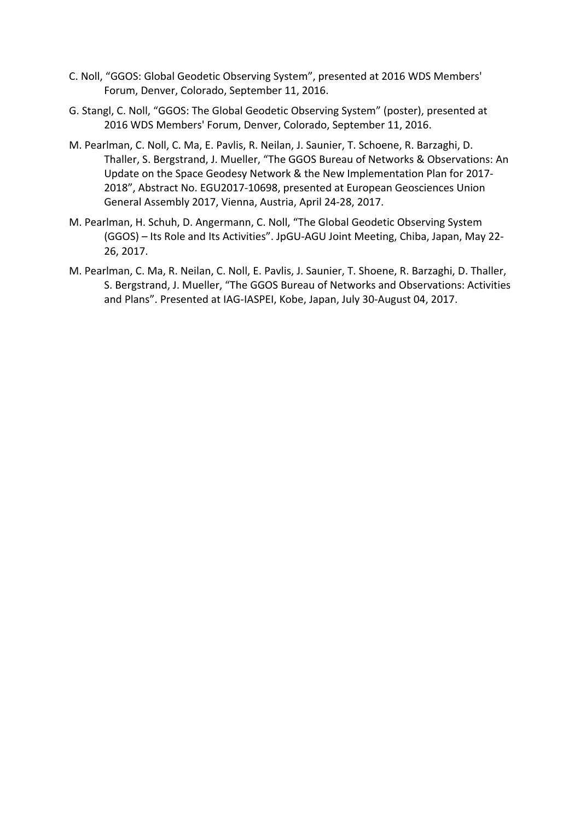- C. Noll, "GGOS: Global Geodetic Observing System", presented at 2016 WDS Members' Forum, Denver, Colorado, September 11, 2016.
- G. Stangl, C. Noll, "GGOS: The Global Geodetic Observing System" (poster), presented at 2016 WDS Members' Forum, Denver, Colorado, September 11, 2016.
- M. Pearlman, C. Noll, C. Ma, E. Pavlis, R. Neilan, J. Saunier, T. Schoene, R. Barzaghi, D. Thaller, S. Bergstrand, J. Mueller, "The GGOS Bureau of Networks & Observations: An Update on the Space Geodesy Network & the New Implementation Plan for 2017-2018", Abstract No. EGU2017-10698, presented at European Geosciences Union General Assembly 2017, Vienna, Austria, April 24-28, 2017.
- M. Pearlman, H. Schuh, D. Angermann, C. Noll, "The Global Geodetic Observing System (GGOS) – Its Role and Its Activities". JpGU-AGU Joint Meeting, Chiba, Japan, May 22-26, 2017.
- M. Pearlman, C. Ma, R. Neilan, C. Noll, E. Pavlis, J. Saunier, T. Shoene, R. Barzaghi, D. Thaller, S. Bergstrand, J. Mueller, "The GGOS Bureau of Networks and Observations: Activities and Plans". Presented at IAG-IASPEI, Kobe, Japan, July 30-August 04, 2017.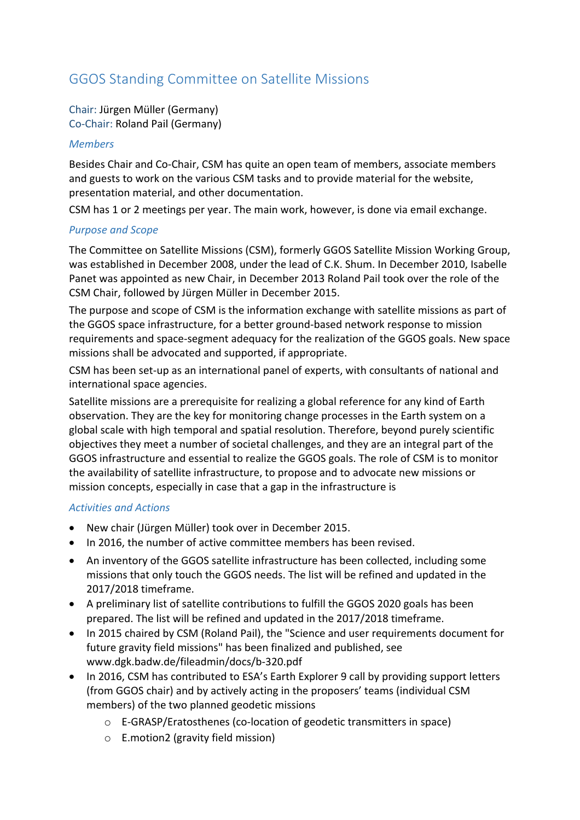# GGOS Standing Committee on Satellite Missions

Chair: Jürgen Müller (Germany) Co-Chair: Roland Pail (Germany)

#### *Members*

Besides Chair and Co-Chair, CSM has quite an open team of members, associate members and guests to work on the various CSM tasks and to provide material for the website, presentation material, and other documentation.

CSM has 1 or 2 meetings per year. The main work, however, is done via email exchange.

### *Purpose and Scope*

The Committee on Satellite Missions (CSM), formerly GGOS Satellite Mission Working Group, was established in December 2008, under the lead of C.K. Shum. In December 2010, Isabelle Panet was appointed as new Chair, in December 2013 Roland Pail took over the role of the CSM Chair, followed by Jürgen Müller in December 2015.

The purpose and scope of CSM is the information exchange with satellite missions as part of the GGOS space infrastructure, for a better ground-based network response to mission requirements and space-segment adequacy for the realization of the GGOS goals. New space missions shall be advocated and supported, if appropriate.

CSM has been set-up as an international panel of experts, with consultants of national and international space agencies.

Satellite missions are a prerequisite for realizing a global reference for any kind of Earth observation. They are the key for monitoring change processes in the Earth system on a global scale with high temporal and spatial resolution. Therefore, beyond purely scientific objectives they meet a number of societal challenges, and they are an integral part of the GGOS infrastructure and essential to realize the GGOS goals. The role of CSM is to monitor the availability of satellite infrastructure, to propose and to advocate new missions or mission concepts, especially in case that a gap in the infrastructure is

#### *Activities and Actions*

- New chair (Jürgen Müller) took over in December 2015.
- In 2016, the number of active committee members has been revised.
- An inventory of the GGOS satellite infrastructure has been collected, including some missions that only touch the GGOS needs. The list will be refined and updated in the 2017/2018 timeframe.
- A preliminary list of satellite contributions to fulfill the GGOS 2020 goals has been prepared. The list will be refined and updated in the 2017/2018 timeframe.
- In 2015 chaired by CSM (Roland Pail), the "Science and user requirements document for future gravity field missions" has been finalized and published, see www.dgk.badw.de/fileadmin/docs/b-320.pdf
- In 2016, CSM has contributed to ESA's Earth Explorer 9 call by providing support letters (from GGOS chair) and by actively acting in the proposers' teams (individual CSM members) of the two planned geodetic missions
	- $\circ$  E-GRASP/Eratosthenes (co-location of geodetic transmitters in space)
	- $\circ$  E.motion2 (gravity field mission)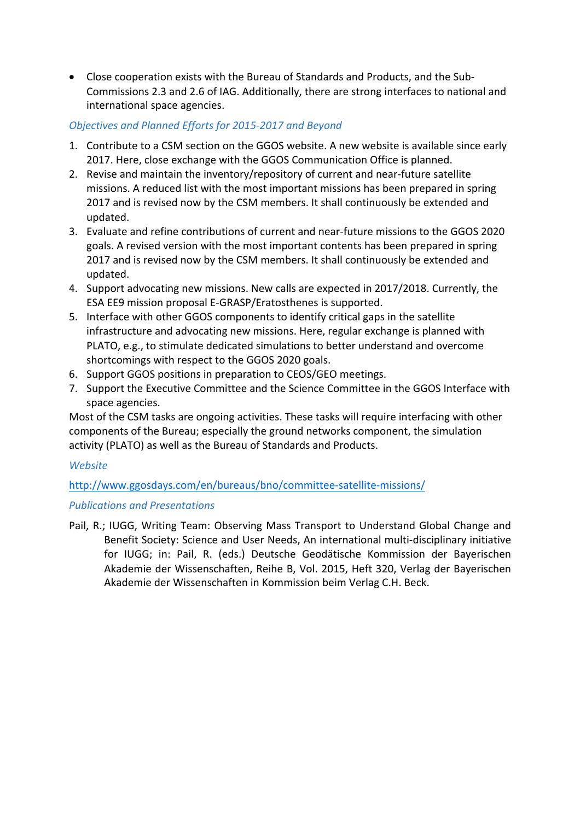• Close cooperation exists with the Bureau of Standards and Products, and the Sub-Commissions 2.3 and 2.6 of IAG. Additionally, there are strong interfaces to national and international space agencies.

## *Objectives and Planned Efforts for 2015-2017 and Beyond*

- 1. Contribute to a CSM section on the GGOS website. A new website is available since early 2017. Here, close exchange with the GGOS Communication Office is planned.
- 2. Revise and maintain the inventory/repository of current and near-future satellite missions. A reduced list with the most important missions has been prepared in spring 2017 and is revised now by the CSM members. It shall continuously be extended and updated.
- 3. Evaluate and refine contributions of current and near-future missions to the GGOS 2020 goals. A revised version with the most important contents has been prepared in spring 2017 and is revised now by the CSM members. It shall continuously be extended and updated.
- 4. Support advocating new missions. New calls are expected in 2017/2018. Currently, the ESA EE9 mission proposal E-GRASP/Eratosthenes is supported.
- 5. Interface with other GGOS components to identify critical gaps in the satellite infrastructure and advocating new missions. Here, regular exchange is planned with PLATO, e.g., to stimulate dedicated simulations to better understand and overcome shortcomings with respect to the GGOS 2020 goals.
- 6. Support GGOS positions in preparation to CEOS/GEO meetings.
- 7. Support the Executive Committee and the Science Committee in the GGOS Interface with space agencies.

Most of the CSM tasks are ongoing activities. These tasks will require interfacing with other components of the Bureau; especially the ground networks component, the simulation activity (PLATO) as well as the Bureau of Standards and Products.

## *Website*

# http://www.ggosdays.com/en/bureaus/bno/committee-satellite-missions/

## **Publications and Presentations**

Pail, R.; IUGG, Writing Team: Observing Mass Transport to Understand Global Change and Benefit Society: Science and User Needs, An international multi-disciplinary initiative for IUGG; in: Pail, R. (eds.) Deutsche Geodätische Kommission der Bayerischen Akademie der Wissenschaften, Reihe B, Vol. 2015, Heft 320, Verlag der Bayerischen Akademie der Wissenschaften in Kommission beim Verlag C.H. Beck.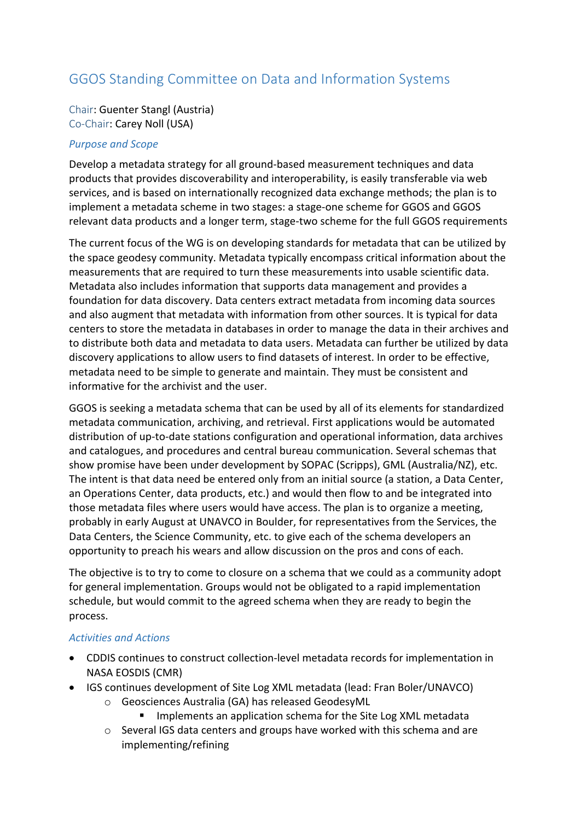# GGOS Standing Committee on Data and Information Systems

Chair: Guenter Stangl (Austria) Co-Chair: Carey Noll (USA)

#### *Purpose and Scope*

Develop a metadata strategy for all ground-based measurement techniques and data products that provides discoverability and interoperability, is easily transferable via web services, and is based on internationally recognized data exchange methods; the plan is to implement a metadata scheme in two stages: a stage-one scheme for GGOS and GGOS relevant data products and a longer term, stage-two scheme for the full GGOS requirements

The current focus of the WG is on developing standards for metadata that can be utilized by the space geodesy community. Metadata typically encompass critical information about the measurements that are required to turn these measurements into usable scientific data. Metadata also includes information that supports data management and provides a foundation for data discovery. Data centers extract metadata from incoming data sources and also augment that metadata with information from other sources. It is typical for data centers to store the metadata in databases in order to manage the data in their archives and to distribute both data and metadata to data users. Metadata can further be utilized by data discovery applications to allow users to find datasets of interest. In order to be effective, metadata need to be simple to generate and maintain. They must be consistent and informative for the archivist and the user.

GGOS is seeking a metadata schema that can be used by all of its elements for standardized metadata communication, archiving, and retrieval. First applications would be automated distribution of up-to-date stations configuration and operational information, data archives and catalogues, and procedures and central bureau communication. Several schemas that show promise have been under development by SOPAC (Scripps), GML (Australia/NZ), etc. The intent is that data need be entered only from an initial source (a station, a Data Center, an Operations Center, data products, etc.) and would then flow to and be integrated into those metadata files where users would have access. The plan is to organize a meeting, probably in early August at UNAVCO in Boulder, for representatives from the Services, the Data Centers, the Science Community, etc. to give each of the schema developers an opportunity to preach his wears and allow discussion on the pros and cons of each.

The objective is to try to come to closure on a schema that we could as a community adopt for general implementation. Groups would not be obligated to a rapid implementation schedule, but would commit to the agreed schema when they are ready to begin the process.

#### *Activities and Actions*

- CDDIS continues to construct collection-level metadata records for implementation in NASA EOSDIS (CMR)
- IGS continues development of Site Log XML metadata (lead: Fran Boler/UNAVCO)
	- o Geosciences Australia (GA) has released GeodesyML
		- Implements an application schema for the Site Log XML metadata
	- $\circ$  Several IGS data centers and groups have worked with this schema and are implementing/refining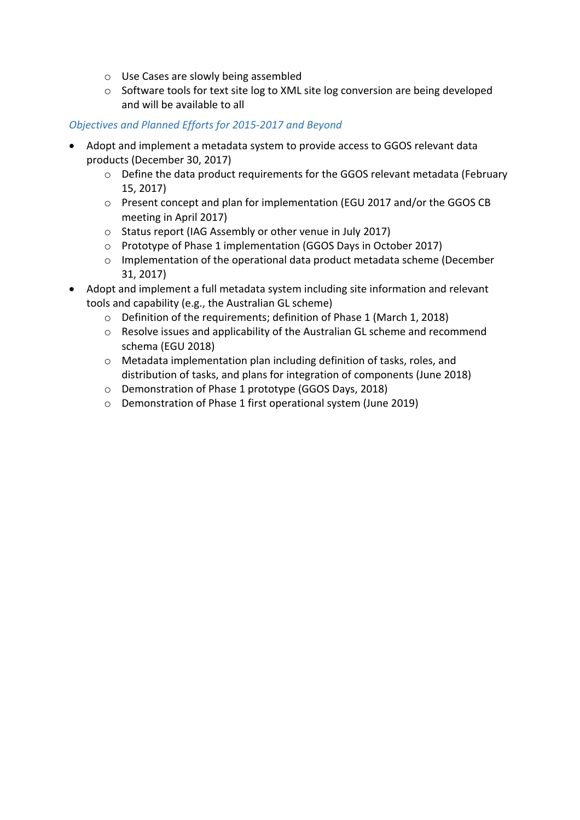- $\circ$  Use Cases are slowly being assembled
- $\circ$  Software tools for text site log to XML site log conversion are being developed and will be available to all

## *Objectives and Planned Efforts for 2015-2017 and Beyond*

- Adopt and implement a metadata system to provide access to GGOS relevant data products (December 30, 2017)
	- $\circ$  Define the data product requirements for the GGOS relevant metadata (February 15, 2017)
	- o Present concept and plan for implementation (EGU 2017 and/or the GGOS CB meeting in April 2017)
	- $\circ$  Status report (IAG Assembly or other venue in July 2017)
	- o Prototype of Phase 1 implementation (GGOS Days in October 2017)
	- $\circ$  Implementation of the operational data product metadata scheme (December 31, 2017)
- Adopt and implement a full metadata system including site information and relevant tools and capability (e.g., the Australian GL scheme)
	- $\circ$  Definition of the requirements; definition of Phase 1 (March 1, 2018)
	- $\circ$  Resolve issues and applicability of the Australian GL scheme and recommend schema (EGU 2018)
	- $\circ$  Metadata implementation plan including definition of tasks, roles, and distribution of tasks, and plans for integration of components (June 2018)
	- o Demonstration of Phase 1 prototype (GGOS Days, 2018)
	- $\circ$  Demonstration of Phase 1 first operational system (June 2019)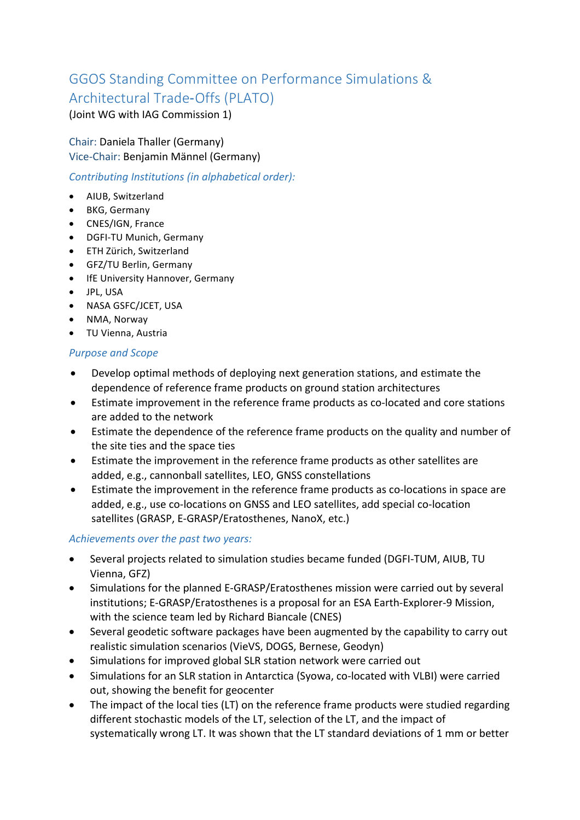# GGOS Standing Committee on Performance Simulations & Architectural Trade-Offs (PLATO)

(Joint WG with IAG Commission 1)

Chair: Daniela Thaller (Germany) Vice-Chair: Benjamin Männel (Germany)

*Contributing Institutions (in alphabetical order):* 

- AIUB, Switzerland
- BKG, Germany
- CNES/IGN, France
- DGFI-TU Munich, Germany
- ETH Zürich, Switzerland
- GFZ/TU Berlin, Germany
- IfE University Hannover, Germany
- JPL, USA
- NASA GSFC/JCET, USA
- NMA, Norway
- TU Vienna, Austria

## *Purpose and Scope*

- Develop optimal methods of deploying next generation stations, and estimate the dependence of reference frame products on ground station architectures
- Estimate improvement in the reference frame products as co-located and core stations are added to the network
- Estimate the dependence of the reference frame products on the quality and number of the site ties and the space ties
- Estimate the improvement in the reference frame products as other satellites are added, e.g., cannonball satellites, LEO, GNSS constellations
- Estimate the improvement in the reference frame products as co-locations in space are added, e.g., use co-locations on GNSS and LEO satellites, add special co-location satellites (GRASP, E-GRASP/Eratosthenes, NanoX, etc.)

# Achievements over the past two years:

- Several projects related to simulation studies became funded (DGFI-TUM, AIUB, TU Vienna, GFZ)
- Simulations for the planned E-GRASP/Eratosthenes mission were carried out by several institutions; E-GRASP/Eratosthenes is a proposal for an ESA Earth-Explorer-9 Mission, with the science team led by Richard Biancale (CNES)
- Several geodetic software packages have been augmented by the capability to carry out realistic simulation scenarios (VieVS, DOGS, Bernese, Geodyn)
- Simulations for improved global SLR station network were carried out
- Simulations for an SLR station in Antarctica (Syowa, co-located with VLBI) were carried out, showing the benefit for geocenter
- The impact of the local ties (LT) on the reference frame products were studied regarding different stochastic models of the LT, selection of the LT, and the impact of systematically wrong LT. It was shown that the LT standard deviations of 1 mm or better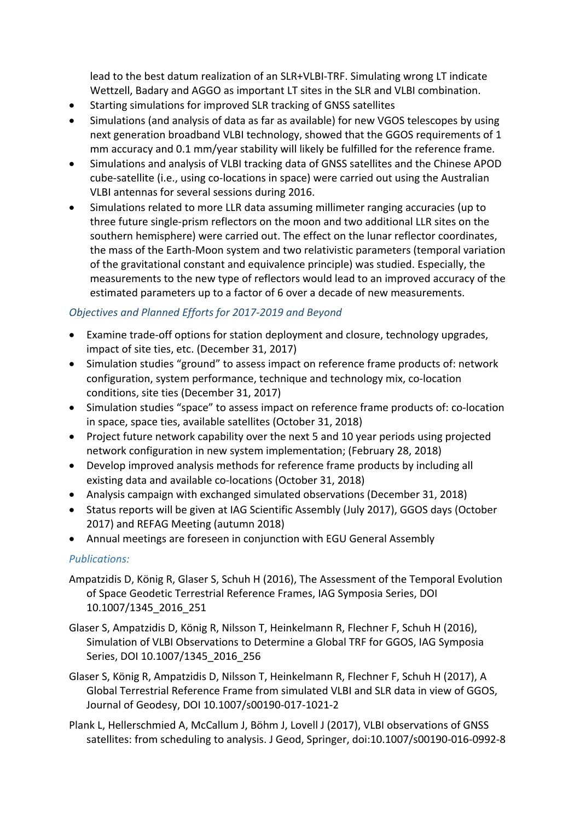lead to the best datum realization of an SLR+VLBI-TRF. Simulating wrong LT indicate Wettzell, Badary and AGGO as important LT sites in the SLR and VLBI combination.

- Starting simulations for improved SLR tracking of GNSS satellites
- Simulations (and analysis of data as far as available) for new VGOS telescopes by using next generation broadband VLBI technology, showed that the GGOS requirements of 1 mm accuracy and 0.1 mm/year stability will likely be fulfilled for the reference frame.
- Simulations and analysis of VLBI tracking data of GNSS satellites and the Chinese APOD cube-satellite (i.e., using co-locations in space) were carried out using the Australian VLBI antennas for several sessions during 2016.
- Simulations related to more LLR data assuming millimeter ranging accuracies (up to three future single-prism reflectors on the moon and two additional LLR sites on the southern hemisphere) were carried out. The effect on the lunar reflector coordinates, the mass of the Earth-Moon system and two relativistic parameters (temporal variation of the gravitational constant and equivalence principle) was studied. Especially, the measurements to the new type of reflectors would lead to an improved accuracy of the estimated parameters up to a factor of 6 over a decade of new measurements.

## *Objectives and Planned Efforts for 2017-2019 and Beyond*

- Examine trade-off options for station deployment and closure, technology upgrades, impact of site ties, etc. (December 31, 2017)
- Simulation studies "ground" to assess impact on reference frame products of: network configuration, system performance, technique and technology mix, co-location conditions, site ties (December 31, 2017)
- Simulation studies "space" to assess impact on reference frame products of: co-location in space, space ties, available satellites (October 31, 2018)
- Project future network capability over the next 5 and 10 year periods using projected network configuration in new system implementation; (February 28, 2018)
- Develop improved analysis methods for reference frame products by including all existing data and available co-locations (October 31, 2018)
- Analysis campaign with exchanged simulated observations (December 31, 2018)
- Status reports will be given at IAG Scientific Assembly (July 2017), GGOS days (October 2017) and REFAG Meeting (autumn 2018)
- Annual meetings are foreseen in conjunction with EGU General Assembly

# *Publications:*

- Ampatzidis D, König R, Glaser S, Schuh H (2016), The Assessment of the Temporal Evolution of Space Geodetic Terrestrial Reference Frames, IAG Symposia Series, DOI 10.1007/1345\_2016\_251
- Glaser S, Ampatzidis D, König R, Nilsson T, Heinkelmann R, Flechner F, Schuh H (2016), Simulation of VLBI Observations to Determine a Global TRF for GGOS, IAG Symposia Series, DOI 10.1007/1345 2016 256
- Glaser S, König R, Ampatzidis D, Nilsson T, Heinkelmann R, Flechner F, Schuh H (2017), A Global Terrestrial Reference Frame from simulated VLBI and SLR data in view of GGOS, Journal of Geodesy, DOI 10.1007/s00190-017-1021-2
- Plank L, Hellerschmied A, McCallum J, Böhm J, Lovell J (2017), VLBI observations of GNSS satellites: from scheduling to analysis. J Geod, Springer, doi:10.1007/s00190-016-0992-8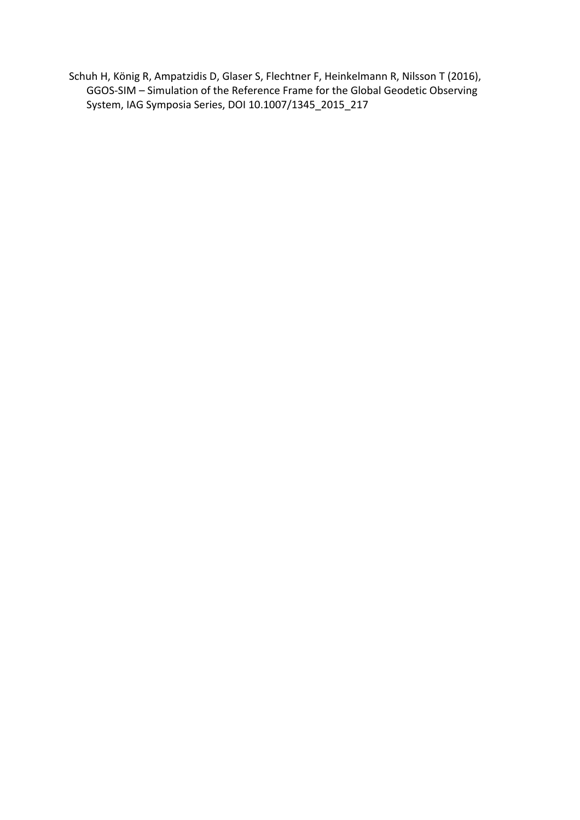Schuh H, König R, Ampatzidis D, Glaser S, Flechtner F, Heinkelmann R, Nilsson T (2016), GGOS-SIM - Simulation of the Reference Frame for the Global Geodetic Observing System, IAG Symposia Series, DOI 10.1007/1345\_2015\_217